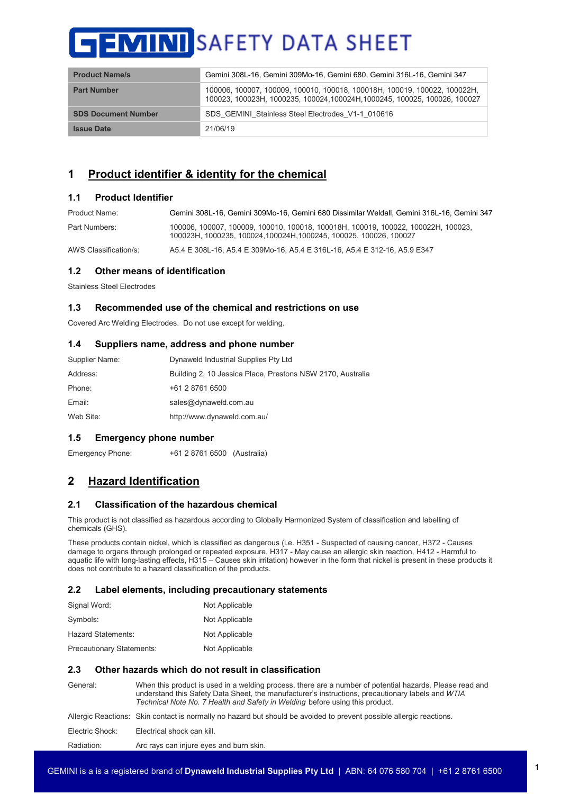| <b>Product Name/s</b>      | Gemini 308L-16, Gemini 309Mo-16, Gemini 680, Gemini 316L-16, Gemini 347                                                                                 |
|----------------------------|---------------------------------------------------------------------------------------------------------------------------------------------------------|
| <b>Part Number</b>         | 100006, 100007, 100009, 100010, 100018, 100018H, 100019, 100022, 100022H,<br>100023, 100023H, 1000235, 100024, 100024H, 1000245, 100025, 100026, 100027 |
| <b>SDS Document Number</b> | SDS GEMINI Stainless Steel Electrodes V1-1 010616                                                                                                       |
| <b>Issue Date</b>          | 21/06/19                                                                                                                                                |

# **1 Product identifier & identity for the chemical**

## **1.1 Product Identifier**

| Product Name: | Gemini 308L-16, Gemini 309Mo-16, Gemini 680 Dissimilar Weldall, Gemini 316L-16, Gemini 347                                                     |
|---------------|------------------------------------------------------------------------------------------------------------------------------------------------|
| Part Numbers: | 100006.100007.100009.100010.100018.100018H.100019.100022.100022H.100023.<br>100023H, 1000235, 100024, 100024H, 1000245, 100025, 100026, 100027 |

AWS Classification/s: A5.4 E 308L-16, A5.4 E 309Mo-16, A5.4 E 316L-16, A5.4 E 312-16, A5.9 E347

## **1.2 Other means of identification**

Stainless Steel Electrodes

## **1.3 Recommended use of the chemical and restrictions on use**

Covered Arc Welding Electrodes. Do not use except for welding.

## **1.4 Suppliers name, address and phone number**

| Supplier Name: | Dynaweld Industrial Supplies Pty Ltd                       |
|----------------|------------------------------------------------------------|
| Address:       | Building 2, 10 Jessica Place, Prestons NSW 2170, Australia |
| Phone:         | +61 2 8761 6500                                            |
| Email:         | sales@dynaweld.com.au                                      |
| Web Site:      | http://www.dynaweld.com.au/                                |
|                |                                                            |

## **1.5 Emergency phone number**

Emergency Phone: +61 2 8761 6500 (Australia)

# **2 Hazard Identification**

## **2.1 Classification of the hazardous chemical**

This product is not classified as hazardous according to Globally Harmonized System of classification and labelling of chemicals (GHS).

These products contain nickel, which is classified as dangerous (i.e. H351 - Suspected of causing cancer, H372 - Causes damage to organs through prolonged or repeated exposure, H317 - May cause an allergic skin reaction, H412 - Harmful to aquatic life with long-lasting effects, H315 – Causes skin irritation) however in the form that nickel is present in these products it does not contribute to a hazard classification of the products.

## **2.2 Label elements, including precautionary statements**

| Signal Word:                     | Not Applicable |
|----------------------------------|----------------|
| Symbols:                         | Not Applicable |
| Hazard Statements:               | Not Applicable |
| <b>Precautionary Statements:</b> | Not Applicable |

## **2.3 Other hazards which do not result in classification**

| General:        | When this product is used in a welding process, there are a number of potential hazards. Please read and<br>understand this Safety Data Sheet, the manufacturer's instructions, precautionary labels and WTIA<br>Technical Note No. 7 Health and Safety in Welding before using this product. |
|-----------------|-----------------------------------------------------------------------------------------------------------------------------------------------------------------------------------------------------------------------------------------------------------------------------------------------|
|                 | Allergic Reactions: Skin contact is normally no hazard but should be avoided to prevent possible allergic reactions.                                                                                                                                                                          |
| Electric Shock: | Electrical shock can kill.                                                                                                                                                                                                                                                                    |
| Radiation:      | Arc rays can injure eyes and burn skin.                                                                                                                                                                                                                                                       |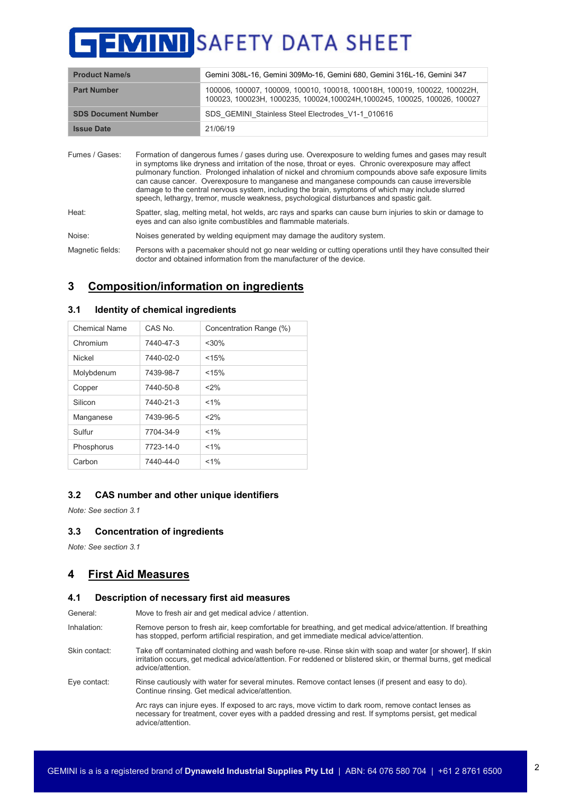| <b>Product Name/s</b>      | Gemini 308L-16, Gemini 309Mo-16, Gemini 680, Gemini 316L-16, Gemini 347                                                                                 |
|----------------------------|---------------------------------------------------------------------------------------------------------------------------------------------------------|
| <b>Part Number</b>         | 100006, 100007, 100009, 100010, 100018, 100018H, 100019, 100022, 100022H,<br>100023, 100023H, 1000235, 100024, 100024H, 1000245, 100025, 100026, 100027 |
| <b>SDS Document Number</b> | SDS GEMINI Stainless Steel Electrodes V1-1 010616                                                                                                       |
| <b>Issue Date</b>          | 21/06/19                                                                                                                                                |

| Fumes / Gases:   | Formation of dangerous fumes / gases during use. Overexposure to welding fumes and gases may result<br>in symptoms like dryness and irritation of the nose, throat or eyes. Chronic overexposure may affect<br>pulmonary function. Prolonged inhalation of nickel and chromium compounds above safe exposure limits<br>can cause cancer. Overexposure to manganese and manganese compounds can cause irreversible<br>damage to the central nervous system, including the brain, symptoms of which may include slurred<br>speech, lethargy, tremor, muscle weakness, psychological disturbances and spastic gait. |
|------------------|------------------------------------------------------------------------------------------------------------------------------------------------------------------------------------------------------------------------------------------------------------------------------------------------------------------------------------------------------------------------------------------------------------------------------------------------------------------------------------------------------------------------------------------------------------------------------------------------------------------|
| Heat:            | Spatter, slag, melting metal, hot welds, arc rays and sparks can cause burn injuries to skin or damage to<br>eyes and can also ignite combustibles and flammable materials.                                                                                                                                                                                                                                                                                                                                                                                                                                      |
| Noise:           | Noises generated by welding equipment may damage the auditory system.                                                                                                                                                                                                                                                                                                                                                                                                                                                                                                                                            |
| Magnetic fields: | Persons with a pacemaker should not go near welding or cutting operations until they have consulted their                                                                                                                                                                                                                                                                                                                                                                                                                                                                                                        |

doctor and obtained information from the manufacturer of the device.

# **3 Composition/information on ingredients**

| Chemical Name | CAS No    | Concentration Range (%) |
|---------------|-----------|-------------------------|
| Chromium      | 7440-47-3 | $<$ 30%                 |
| Nickel        | 7440-02-0 | < 15%                   |
| Molybdenum    | 7439-98-7 | < 15%                   |
| Copper        | 7440-50-8 | $<$ 2%                  |
| Silicon       | 7440-21-3 | $< 1\%$                 |
| Manganese     | 7439-96-5 | $<$ 2%                  |
| Sulfur        | 7704-34-9 | $< 1\%$                 |
| Phosphorus    | 7723-14-0 | $< 1\%$                 |
| Carbon        | 7440-44-0 | $< 1\%$                 |

## **3.1 Identity of chemical ingredients**

## **3.2 CAS number and other unique identifiers**

*Note: See section 3.1*

## **3.3 Concentration of ingredients**

*Note: See section 3.1*

# **4 First Aid Measures**

#### **4.1 Description of necessary first aid measures**

General: Move to fresh air and get medical advice / attention.

Inhalation: Remove person to fresh air, keep comfortable for breathing, and get medical advice/attention. If breathing has stopped, perform artificial respiration, and get immediate medical advice/attention.

Skin contact: Take off contaminated clothing and wash before re-use. Rinse skin with soap and water [or shower]. If skin irritation occurs, get medical advice/attention. For reddened or blistered skin, or thermal burns, get medical advice/attention.

Eye contact: Rinse cautiously with water for several minutes. Remove contact lenses (if present and easy to do). Continue rinsing. Get medical advice/attention.

> Arc rays can injure eyes. If exposed to arc rays, move victim to dark room, remove contact lenses as necessary for treatment, cover eyes with a padded dressing and rest. If symptoms persist, get medical advice/attention.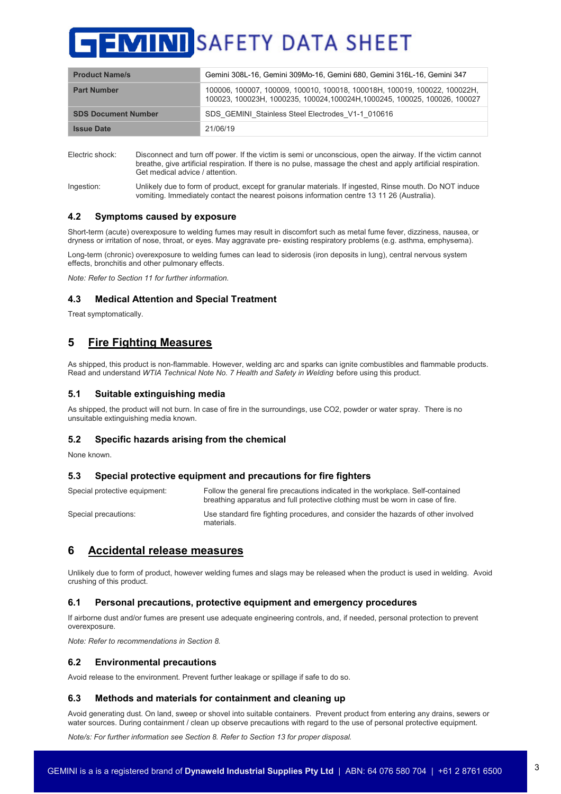| <b>Product Name/s</b>      | Gemini 308L-16, Gemini 309Mo-16, Gemini 680, Gemini 316L-16, Gemini 347                                                                                 |
|----------------------------|---------------------------------------------------------------------------------------------------------------------------------------------------------|
| <b>Part Number</b>         | 100006, 100007, 100009, 100010, 100018, 100018H, 100019, 100022, 100022H,<br>100023, 100023H, 1000235, 100024, 100024H, 1000245, 100025, 100026, 100027 |
| <b>SDS Document Number</b> | SDS GEMINI Stainless Steel Electrodes V1-1 010616                                                                                                       |
| <b>Issue Date</b>          | 21/06/19                                                                                                                                                |

Electric shock: Disconnect and turn off power. If the victim is semi or unconscious, open the airway. If the victim cannot breathe, give artificial respiration. If there is no pulse, massage the chest and apply artificial respiration. Get medical advice / attention.

Ingestion: Unlikely due to form of product, except for granular materials. If ingested, Rinse mouth. Do NOT induce vomiting. Immediately contact the nearest poisons information centre 13 11 26 (Australia).

#### **4.2 Symptoms caused by exposure**

Short-term (acute) overexposure to welding fumes may result in discomfort such as metal fume fever, dizziness, nausea, or dryness or irritation of nose, throat, or eyes. May aggravate pre- existing respiratory problems (e.g. asthma, emphysema).

Long-term (chronic) overexposure to welding fumes can lead to siderosis (iron deposits in lung), central nervous system effects, bronchitis and other pulmonary effects.

*Note: Refer to Section 11 for further information.*

## **4.3 Medical Attention and Special Treatment**

Treat symptomatically.

# **5 Fire Fighting Measures**

As shipped, this product is non-flammable. However, welding arc and sparks can ignite combustibles and flammable products. Read and understand *WTIA Technical Note No. 7 Health and Safety in Welding* before using this product.

#### **5.1 Suitable extinguishing media**

As shipped, the product will not burn. In case of fire in the surroundings, use CO2, powder or water spray. There is no unsuitable extinguishing media known.

## **5.2 Specific hazards arising from the chemical**

None known.

## **5.3 Special protective equipment and precautions for fire fighters**

| Special protective equipment: | Follow the general fire precautions indicated in the workplace. Self-contained<br>breathing apparatus and full protective clothing must be worn in case of fire. |
|-------------------------------|------------------------------------------------------------------------------------------------------------------------------------------------------------------|
| Special precautions:          | Use standard fire fighting procedures, and consider the hazards of other involved<br>materials.                                                                  |

## **6 Accidental release measures**

Unlikely due to form of product, however welding fumes and slags may be released when the product is used in welding. Avoid crushing of this product.

#### **6.1 Personal precautions, protective equipment and emergency procedures**

If airborne dust and/or fumes are present use adequate engineering controls, and, if needed, personal protection to prevent overexposure.

*Note: Refer to recommendations in Section 8.*

#### **6.2 Environmental precautions**

Avoid release to the environment. Prevent further leakage or spillage if safe to do so.

#### **6.3 Methods and materials for containment and cleaning up**

Avoid generating dust. On land, sweep or shovel into suitable containers. Prevent product from entering any drains, sewers or water sources. During containment / clean up observe precautions with regard to the use of personal protective equipment.

*Note/s: For further information see Section 8. Refer to Section 13 for proper disposal.*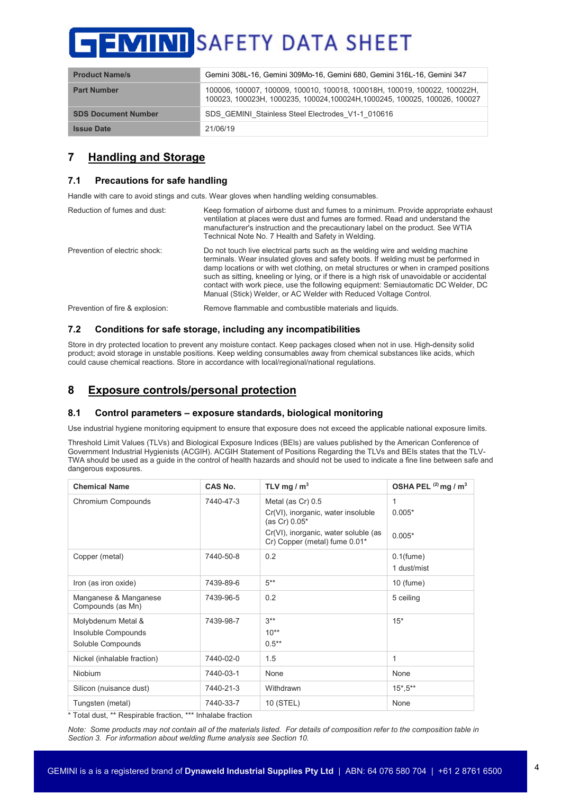| <b>Product Name/s</b>      | Gemini 308L-16, Gemini 309Mo-16, Gemini 680, Gemini 316L-16, Gemini 347                                                                                 |
|----------------------------|---------------------------------------------------------------------------------------------------------------------------------------------------------|
| <b>Part Number</b>         | 100006, 100007, 100009, 100010, 100018, 100018H, 100019, 100022, 100022H,<br>100023, 100023H, 1000235, 100024, 100024H, 1000245, 100025, 100026, 100027 |
| <b>SDS Document Number</b> | SDS GEMINI Stainless Steel Electrodes V1-1 010616                                                                                                       |
| <b>Issue Date</b>          | 21/06/19                                                                                                                                                |

# **7 Handling and Storage**

## **7.1 Precautions for safe handling**

Handle with care to avoid stings and cuts. Wear gloves when handling welding consumables.

| Reduction of fumes and dust:    | Keep formation of airborne dust and fumes to a minimum. Provide appropriate exhaust<br>ventilation at places were dust and fumes are formed. Read and understand the<br>manufacturer's instruction and the precautionary label on the product. See WTIA<br>Technical Note No. 7 Health and Safety in Welding.                                                                                                                                                                                                           |
|---------------------------------|-------------------------------------------------------------------------------------------------------------------------------------------------------------------------------------------------------------------------------------------------------------------------------------------------------------------------------------------------------------------------------------------------------------------------------------------------------------------------------------------------------------------------|
| Prevention of electric shock:   | Do not touch live electrical parts such as the welding wire and welding machine<br>terminals. Wear insulated gloves and safety boots. If welding must be performed in<br>damp locations or with wet clothing, on metal structures or when in cramped positions<br>such as sitting, kneeling or lying, or if there is a high risk of unavoidable or accidental<br>contact with work piece, use the following equipment: Semiautomatic DC Welder, DC<br>Manual (Stick) Welder, or AC Welder with Reduced Voltage Control. |
| Prevention of fire & explosion: | Remove flammable and combustible materials and liquids.                                                                                                                                                                                                                                                                                                                                                                                                                                                                 |

## **7.2 Conditions for safe storage, including any incompatibilities**

Store in dry protected location to prevent any moisture contact. Keep packages closed when not in use. High-density solid product; avoid storage in unstable positions. Keep welding consumables away from chemical substances like acids, which could cause chemical reactions. Store in accordance with local/regional/national regulations.

# **8 Exposure controls/personal protection**

## **8.1 Control parameters – exposure standards, biological monitoring**

Use industrial hygiene monitoring equipment to ensure that exposure does not exceed the applicable national exposure limits.

Threshold Limit Values (TLVs) and Biological Exposure Indices (BEIs) are values published by the American Conference of Government Industrial Hygienists (ACGIH). ACGIH Statement of Positions Regarding the TLVs and BEIs states that the TLV-TWA should be used as a guide in the control of health hazards and should not be used to indicate a fine line between safe and dangerous exposures.

| <b>Chemical Name</b>                                                             | CAS No.   | TLV mg $/m3$                                                                                                                                      | OSHA PEL $(2)$ mg / m <sup>3</sup> |
|----------------------------------------------------------------------------------|-----------|---------------------------------------------------------------------------------------------------------------------------------------------------|------------------------------------|
| Chromium Compounds                                                               | 7440-47-3 | Metal (as Cr) 0.5<br>Cr(VI), inorganic, water insoluble<br>(as Cr) 0.05*<br>Cr(VI), inorganic, water soluble (as<br>Cr) Copper (metal) fume 0.01* | 1<br>$0.005*$<br>$0.005*$          |
| Copper (metal)                                                                   | 7440-50-8 | 0.2                                                                                                                                               | $0.1$ (fume)<br>1 dust/mist        |
| Iron (as iron oxide)                                                             | 7439-89-6 | $5***$                                                                                                                                            | $10$ (fume)                        |
| Manganese & Manganese<br>Compounds (as Mn)                                       | 7439-96-5 | 0.2                                                                                                                                               | 5 ceiling                          |
| Molybdenum Metal &<br>Insoluble Compounds<br>Soluble Compounds                   | 7439-98-7 | $3***$<br>$10^{**}$<br>$0.5**$                                                                                                                    | $15*$                              |
| Nickel (inhalable fraction)                                                      | 7440-02-0 | 1.5                                                                                                                                               | 1                                  |
| <b>Niobium</b>                                                                   | 7440-03-1 | None                                                                                                                                              | None                               |
| Silicon (nuisance dust)                                                          | 7440-21-3 | Withdrawn                                                                                                                                         | $15^*$ , $5^{**}$                  |
| Tungsten (metal)<br>+ πρέου direct ++ Προσπάθεια Διακές την +++ με το με διακές. | 7440-33-7 | 10 (STEL)                                                                                                                                         | None                               |

Total dust, \*\* Respirable fraction, \*\*\* Inhalabe fraction

*Note: Some products may not contain all of the materials listed. For details of composition refer to the composition table in Section 3. For information about welding flume analysis see Section 10.*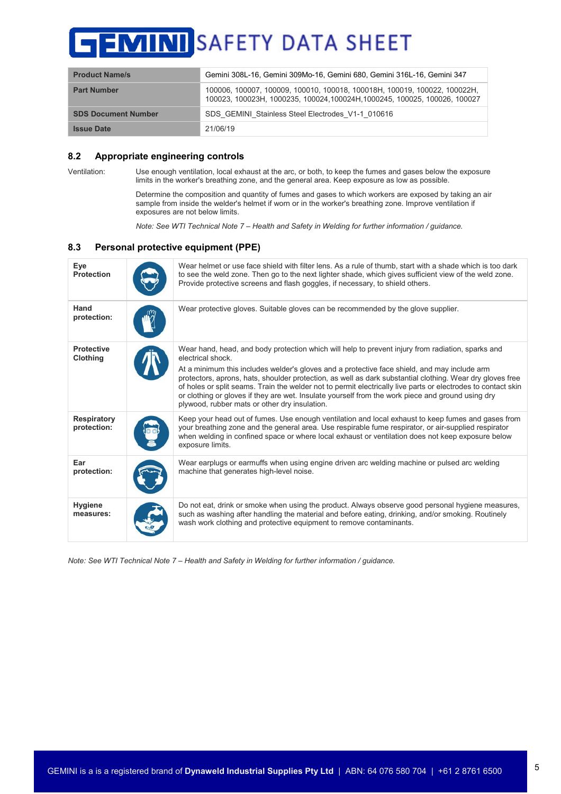# SAFETY DATA SHEET

| <b>Product Name/s</b>      | Gemini 308L-16, Gemini 309Mo-16, Gemini 680, Gemini 316L-16, Gemini 347                                                                                 |
|----------------------------|---------------------------------------------------------------------------------------------------------------------------------------------------------|
| <b>Part Number</b>         | 100006, 100007, 100009, 100010, 100018, 100018H, 100019, 100022, 100022H,<br>100023, 100023H, 1000235, 100024, 100024H, 1000245, 100025, 100026, 100027 |
| <b>SDS Document Number</b> | SDS GEMINI Stainless Steel Electrodes V1-1 010616                                                                                                       |
| <b>Issue Date</b>          | 21/06/19                                                                                                                                                |

## **8.2 Appropriate engineering controls**

Ventilation: Use enough ventilation, local exhaust at the arc, or both, to keep the fumes and gases below the exposure limits in the worker's breathing zone, and the general area. Keep exposure as low as possible.

> Determine the composition and quantity of fumes and gases to which workers are exposed by taking an air sample from inside the welder's helmet if worn or in the worker's breathing zone. Improve ventilation if exposures are not below limits.

*Note: See WTI Technical Note 7 – Health and Safety in Welding for further information / guidance.*

## **8.3 Personal protective equipment (PPE)**

| Eye<br><b>Protection</b>             | Wear helmet or use face shield with filter lens. As a rule of thumb, start with a shade which is too dark<br>to see the weld zone. Then go to the next lighter shade, which gives sufficient view of the weld zone.<br>Provide protective screens and flash goggles, if necessary, to shield others.                                                                                                                                                                                                                                                                                                       |
|--------------------------------------|------------------------------------------------------------------------------------------------------------------------------------------------------------------------------------------------------------------------------------------------------------------------------------------------------------------------------------------------------------------------------------------------------------------------------------------------------------------------------------------------------------------------------------------------------------------------------------------------------------|
| Hand<br>protection:                  | Wear protective gloves. Suitable gloves can be recommended by the glove supplier.                                                                                                                                                                                                                                                                                                                                                                                                                                                                                                                          |
| <b>Protective</b><br><b>Clothing</b> | Wear hand, head, and body protection which will help to prevent injury from radiation, sparks and<br>electrical shock.<br>At a minimum this includes welder's gloves and a protective face shield, and may include arm<br>protectors, aprons, hats, shoulder protection, as well as dark substantial clothing. Wear dry gloves free<br>of holes or split seams. Train the welder not to permit electrically live parts or electrodes to contact skin<br>or clothing or gloves if they are wet. Insulate yourself from the work piece and ground using dry<br>plywood, rubber mats or other dry insulation. |
| Respiratory<br>protection:           | Keep your head out of fumes. Use enough ventilation and local exhaust to keep fumes and gases from<br>your breathing zone and the general area. Use respirable fume respirator, or air-supplied respirator<br>when welding in confined space or where local exhaust or ventilation does not keep exposure below<br>exposure limits.                                                                                                                                                                                                                                                                        |
| Ear<br>protection:                   | Wear earplugs or earmuffs when using engine driven arc welding machine or pulsed arc welding<br>machine that generates high-level noise.                                                                                                                                                                                                                                                                                                                                                                                                                                                                   |
| <b>Hygiene</b><br>measures:          | Do not eat, drink or smoke when using the product. Always observe good personal hygiene measures,<br>such as washing after handling the material and before eating, drinking, and/or smoking. Routinely<br>wash work clothing and protective equipment to remove contaminants.                                                                                                                                                                                                                                                                                                                             |

*Note: See WTI Technical Note 7 – Health and Safety in Welding for further information / guidance.*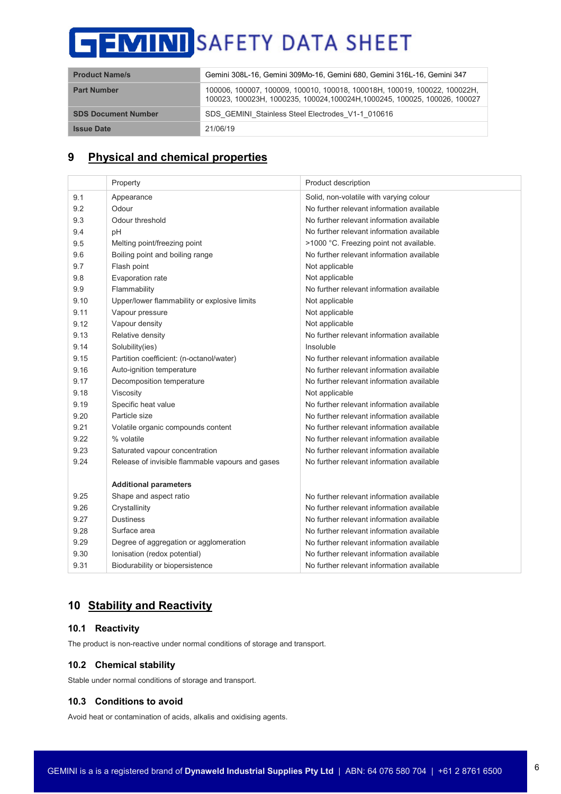| <b>Product Name/s</b>      | Gemini 308L-16, Gemini 309Mo-16, Gemini 680, Gemini 316L-16, Gemini 347                                                                                 |  |
|----------------------------|---------------------------------------------------------------------------------------------------------------------------------------------------------|--|
| <b>Part Number</b>         | 100006, 100007, 100009, 100010, 100018, 100018H, 100019, 100022, 100022H,<br>100023, 100023H, 1000235, 100024, 100024H, 1000245, 100025, 100026, 100027 |  |
| <b>SDS Document Number</b> | SDS GEMINI Stainless Steel Electrodes V1-1 010616                                                                                                       |  |
| <b>Issue Date</b>          | 21/06/19                                                                                                                                                |  |

# **9 Physical and chemical properties**

|      | Property                                         | Product description                       |
|------|--------------------------------------------------|-------------------------------------------|
| 9.1  | Appearance                                       | Solid, non-volatile with varying colour   |
| 9.2  | Odour                                            | No further relevant information available |
| 9.3  | Odour threshold                                  | No further relevant information available |
| 9.4  | pH                                               | No further relevant information available |
| 9.5  | Melting point/freezing point                     | >1000 °C. Freezing point not available.   |
| 9.6  | Boiling point and boiling range                  | No further relevant information available |
| 9.7  | Flash point                                      | Not applicable                            |
| 9.8  | Evaporation rate                                 | Not applicable                            |
| 9.9  | Flammability                                     | No further relevant information available |
| 9.10 | Upper/lower flammability or explosive limits     | Not applicable                            |
| 9.11 | Vapour pressure                                  | Not applicable                            |
| 9.12 | Vapour density                                   | Not applicable                            |
| 9.13 | Relative density                                 | No further relevant information available |
| 9.14 | Solubility(ies)                                  | Insoluble                                 |
| 9.15 | Partition coefficient: (n-octanol/water)         | No further relevant information available |
| 9.16 | Auto-ignition temperature                        | No further relevant information available |
| 9.17 | Decomposition temperature                        | No further relevant information available |
| 9.18 | Viscosity                                        | Not applicable                            |
| 9.19 | Specific heat value                              | No further relevant information available |
| 9.20 | Particle size                                    | No further relevant information available |
| 9.21 | Volatile organic compounds content               | No further relevant information available |
| 9.22 | % volatile                                       | No further relevant information available |
| 9.23 | Saturated vapour concentration                   | No further relevant information available |
| 9.24 | Release of invisible flammable vapours and gases | No further relevant information available |
|      |                                                  |                                           |
|      | <b>Additional parameters</b>                     |                                           |
| 9.25 | Shape and aspect ratio                           | No further relevant information available |
| 9.26 | Crystallinity                                    | No further relevant information available |
| 9.27 | <b>Dustiness</b>                                 | No further relevant information available |
| 9.28 | Surface area                                     | No further relevant information available |
| 9.29 | Degree of aggregation or agglomeration           | No further relevant information available |
| 9.30 | Ionisation (redox potential)                     | No further relevant information available |
| 9.31 | Biodurability or biopersistence                  | No further relevant information available |

# **10 Stability and Reactivity**

## **10.1 Reactivity**

The product is non-reactive under normal conditions of storage and transport.

## **10.2 Chemical stability**

Stable under normal conditions of storage and transport.

## **10.3 Conditions to avoid**

Avoid heat or contamination of acids, alkalis and oxidising agents.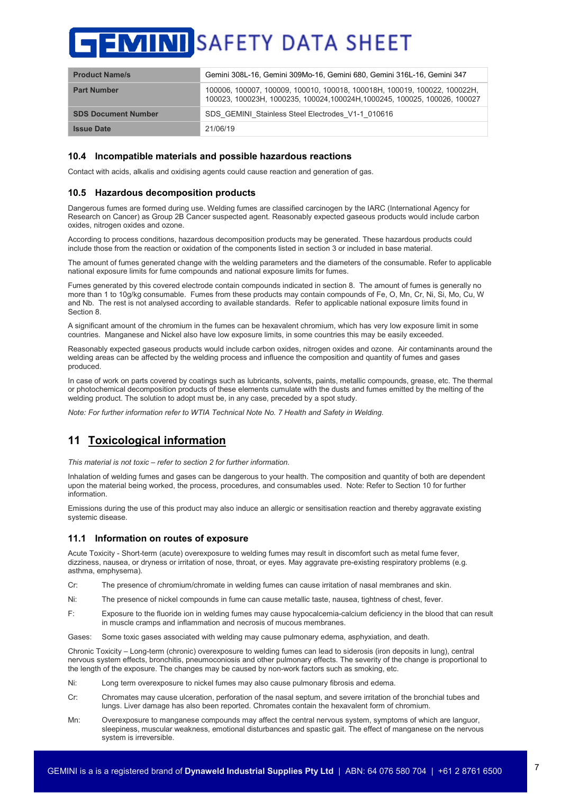| <b>Product Name/s</b>      | Gemini 308L-16, Gemini 309Mo-16, Gemini 680, Gemini 316L-16, Gemini 347                                                                                 |
|----------------------------|---------------------------------------------------------------------------------------------------------------------------------------------------------|
| <b>Part Number</b>         | 100006, 100007, 100009, 100010, 100018, 100018H, 100019, 100022, 100022H,<br>100023, 100023H, 1000235, 100024, 100024H, 1000245, 100025, 100026, 100027 |
| <b>SDS Document Number</b> | SDS GEMINI Stainless Steel Electrodes V1-1 010616                                                                                                       |
| <b>Issue Date</b>          | 21/06/19                                                                                                                                                |

## **10.4 Incompatible materials and possible hazardous reactions**

Contact with acids, alkalis and oxidising agents could cause reaction and generation of gas.

#### **10.5 Hazardous decomposition products**

Dangerous fumes are formed during use. Welding fumes are classified carcinogen by the IARC (International Agency for Research on Cancer) as Group 2B Cancer suspected agent. Reasonably expected gaseous products would include carbon oxides, nitrogen oxides and ozone.

According to process conditions, hazardous decomposition products may be generated. These hazardous products could include those from the reaction or oxidation of the components listed in section 3 or included in base material.

The amount of fumes generated change with the welding parameters and the diameters of the consumable. Refer to applicable national exposure limits for fume compounds and national exposure limits for fumes.

Fumes generated by this covered electrode contain compounds indicated in section 8. The amount of fumes is generally no more than 1 to 10g/kg consumable. Fumes from these products may contain compounds of Fe, O, Mn, Cr, Ni, Si, Mo, Cu, W and Nb. The rest is not analysed according to available standards. Refer to applicable national exposure limits found in Section 8.

A significant amount of the chromium in the fumes can be hexavalent chromium, which has very low exposure limit in some countries. Manganese and Nickel also have low exposure limits, in some countries this may be easily exceeded.

Reasonably expected gaseous products would include carbon oxides, nitrogen oxides and ozone. Air contaminants around the welding areas can be affected by the welding process and influence the composition and quantity of fumes and gases produced.

In case of work on parts covered by coatings such as lubricants, solvents, paints, metallic compounds, grease, etc. The thermal or photochemical decomposition products of these elements cumulate with the dusts and fumes emitted by the melting of the welding product. The solution to adopt must be, in any case, preceded by a spot study.

*Note: For further information refer to WTIA Technical Note No. 7 Health and Safety in Welding.*

# **11 Toxicological information**

*This material is not toxic – refer to section 2 for further information.*

Inhalation of welding fumes and gases can be dangerous to your health. The composition and quantity of both are dependent upon the material being worked, the process, procedures, and consumables used. Note: Refer to Section 10 for further information.

Emissions during the use of this product may also induce an allergic or sensitisation reaction and thereby aggravate existing systemic disease.

## **11.1 Information on routes of exposure**

Acute Toxicity - Short-term (acute) overexposure to welding fumes may result in discomfort such as metal fume fever, dizziness, nausea, or dryness or irritation of nose, throat, or eyes. May aggravate pre-existing respiratory problems (e.g. asthma, emphysema).

- Cr: The presence of chromium/chromate in welding fumes can cause irritation of nasal membranes and skin.
- Ni: The presence of nickel compounds in fume can cause metallic taste, nausea, tightness of chest, fever.
- F: Exposure to the fluoride ion in welding fumes may cause hypocalcemia-calcium deficiency in the blood that can result in muscle cramps and inflammation and necrosis of mucous membranes.

Gases: Some toxic gases associated with welding may cause pulmonary edema, asphyxiation, and death.

Chronic Toxicity – Long-term (chronic) overexposure to welding fumes can lead to siderosis (iron deposits in lung), central nervous system effects, bronchitis, pneumoconiosis and other pulmonary effects. The severity of the change is proportional to the length of the exposure. The changes may be caused by non-work factors such as smoking, etc.

Ni: Long term overexposure to nickel fumes may also cause pulmonary fibrosis and edema.

- Cr: Chromates may cause ulceration, perforation of the nasal septum, and severe irritation of the bronchial tubes and lungs. Liver damage has also been reported. Chromates contain the hexavalent form of chromium.
- Mn: Overexposure to manganese compounds may affect the central nervous system, symptoms of which are languor, sleepiness, muscular weakness, emotional disturbances and spastic gait. The effect of manganese on the nervous system is irreversible.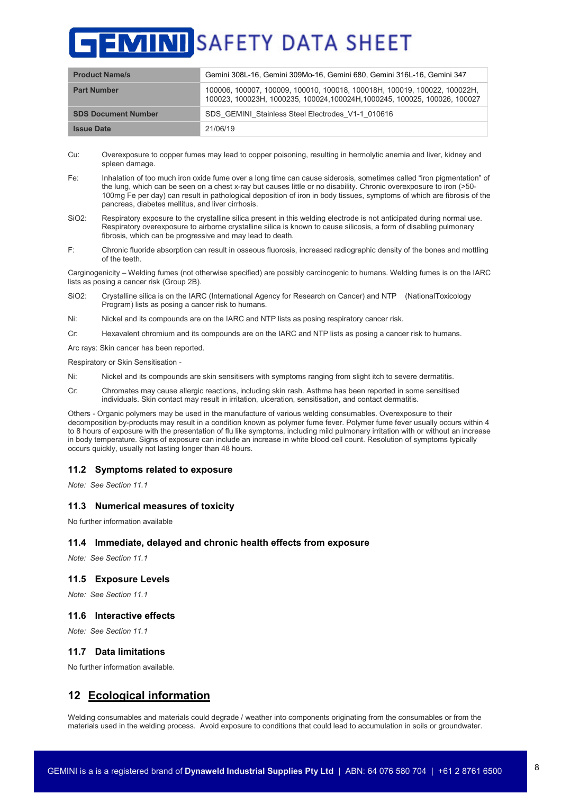| <b>Product Name/s</b>      | Gemini 308L-16, Gemini 309Mo-16, Gemini 680, Gemini 316L-16, Gemini 347                                                                                 |
|----------------------------|---------------------------------------------------------------------------------------------------------------------------------------------------------|
| <b>Part Number</b>         | 100006, 100007, 100009, 100010, 100018, 100018H, 100019, 100022, 100022H,<br>100023, 100023H, 1000235, 100024, 100024H, 1000245, 100025, 100026, 100027 |
| <b>SDS Document Number</b> | SDS GEMINI Stainless Steel Electrodes V1-1 010616                                                                                                       |
| <b>Issue Date</b>          | 21/06/19                                                                                                                                                |

- Cu: Overexposure to copper fumes may lead to copper poisoning, resulting in hermolytic anemia and liver, kidney and spleen damage.
- Fe: Inhalation of too much iron oxide fume over a long time can cause siderosis, sometimes called "iron pigmentation" of the lung, which can be seen on a chest x-ray but causes little or no disability. Chronic overexposure to iron (>50- 100mg Fe per day) can result in pathological deposition of iron in body tissues, symptoms of which are fibrosis of the pancreas, diabetes mellitus, and liver cirrhosis.
- SiO2: Respiratory exposure to the crystalline silica present in this welding electrode is not anticipated during normal use. Respiratory overexposure to airborne crystalline silica is known to cause silicosis, a form of disabling pulmonary fibrosis, which can be progressive and may lead to death.
- F: Chronic fluoride absorption can result in osseous fluorosis, increased radiographic density of the bones and mottling of the teeth.

Carginogenicity – Welding fumes (not otherwise specified) are possibly carcinogenic to humans. Welding fumes is on the IARC lists as posing a cancer risk (Group 2B).

- SiO2: Crystalline silica is on the IARC (International Agency for Research on Cancer) and NTP (NationalToxicology Program) lists as posing a cancer risk to humans.
- Ni: Nickel and its compounds are on the IARC and NTP lists as posing respiratory cancer risk.
- Cr: Hexavalent chromium and its compounds are on the IARC and NTP lists as posing a cancer risk to humans.

Arc rays: Skin cancer has been reported.

Respiratory or Skin Sensitisation -

- Ni: Nickel and its compounds are skin sensitisers with symptoms ranging from slight itch to severe dermatitis.
- Cr: Chromates may cause allergic reactions, including skin rash. Asthma has been reported in some sensitised individuals. Skin contact may result in irritation, ulceration, sensitisation, and contact dermatitis.

Others - Organic polymers may be used in the manufacture of various welding consumables. Overexposure to their decomposition by-products may result in a condition known as polymer fume fever. Polymer fume fever usually occurs within 4 to 8 hours of exposure with the presentation of flu like symptoms, including mild pulmonary irritation with or without an increase in body temperature. Signs of exposure can include an increase in white blood cell count. Resolution of symptoms typically occurs quickly, usually not lasting longer than 48 hours.

#### **11.2 Symptoms related to exposure**

*Note: See Section 11.1*

#### **11.3 Numerical measures of toxicity**

No further information available

#### **11.4 Immediate, delayed and chronic health effects from exposure**

*Note: See Section 11.1*

#### **11.5 Exposure Levels**

*Note: See Section 11.1*

#### **11.6 Interactive effects**

*Note: See Section 11.1*

#### **11.7 Data limitations**

No further information available.

# **12 Ecological information**

Welding consumables and materials could degrade / weather into components originating from the consumables or from the materials used in the welding process. Avoid exposure to conditions that could lead to accumulation in soils or groundwater.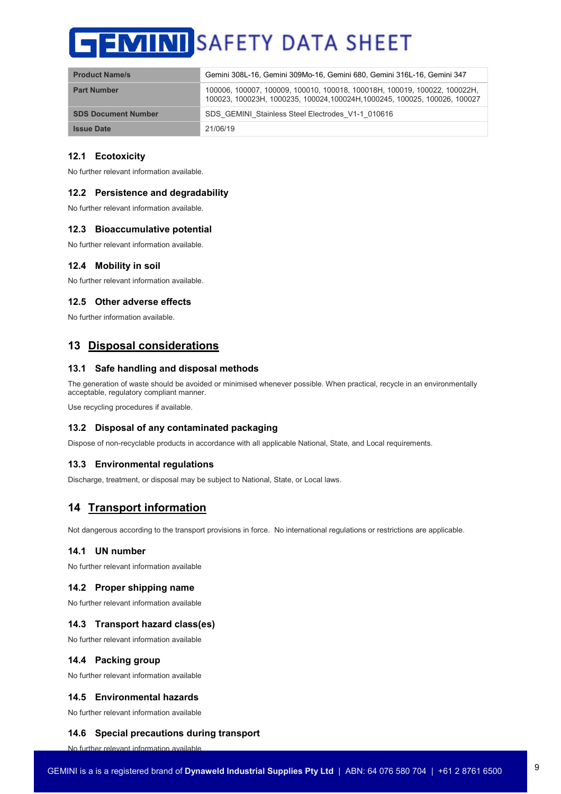| <b>Product Name/s</b>      | Gemini 308L-16, Gemini 309Mo-16, Gemini 680, Gemini 316L-16, Gemini 347                                                                                 |
|----------------------------|---------------------------------------------------------------------------------------------------------------------------------------------------------|
| <b>Part Number</b>         | 100006, 100007, 100009, 100010, 100018, 100018H, 100019, 100022, 100022H,<br>100023, 100023H, 1000235, 100024, 100024H, 1000245, 100025, 100026, 100027 |
| <b>SDS Document Number</b> | SDS GEMINI Stainless Steel Electrodes V1-1 010616                                                                                                       |
| <b>Issue Date</b>          | 21/06/19                                                                                                                                                |

## **12.1 Ecotoxicity**

No further relevant information available.

#### **12.2 Persistence and degradability**

No further relevant information available.

#### **12.3 Bioaccumulative potential**

No further relevant information available.

## **12.4 Mobility in soil**

No further relevant information available.

#### **12.5 Other adverse effects**

No further information available.

# **13 Disposal considerations**

#### **13.1 Safe handling and disposal methods**

The generation of waste should be avoided or minimised whenever possible. When practical, recycle in an environmentally acceptable, regulatory compliant manner.

Use recycling procedures if available.

#### **13.2 Disposal of any contaminated packaging**

Dispose of non-recyclable products in accordance with all applicable National, State, and Local requirements.

#### **13.3 Environmental regulations**

Discharge, treatment, or disposal may be subject to National, State, or Local laws.

# **14 Transport information**

Not dangerous according to the transport provisions in force. No international regulations or restrictions are applicable.

## **14.1 UN number**

No further relevant information available

#### **14.2 Proper shipping name**

No further relevant information available

#### **14.3 Transport hazard class(es)**

No further relevant information available

#### **14.4 Packing group**

No further relevant information available

## **14.5 Environmental hazards**

No further relevant information available

#### **14.6 Special precautions during transport**

No further relevant information available